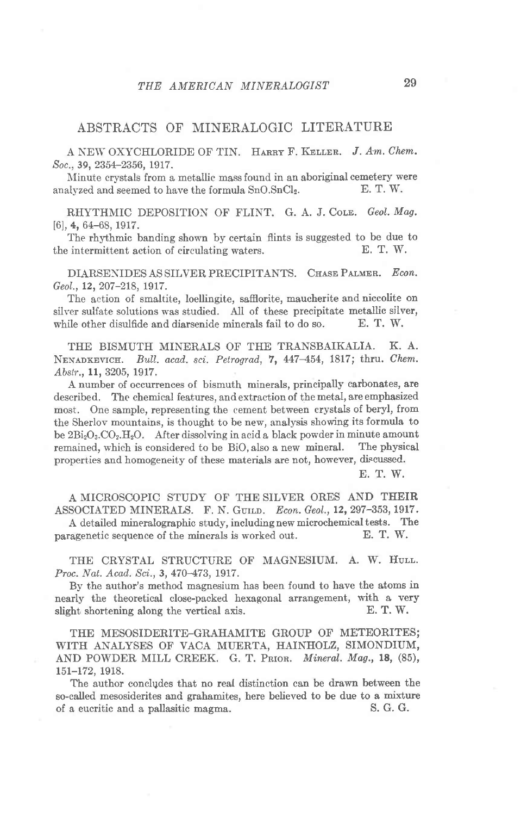## ABSTRACTS OF MINERALOGIC LITERATURE

A NEW OXYCHLORIDE OF TIN. HARRY F. KELLER. J. Am. Chem. Soc., 39, 2354-2356, 1917.

Minute crystals from a metallic mass found in an aboriginal cemetery were<br>alvzed and seemed to have the formula  $SnCI_2$ . E. T. W. analyzed and seemed to have the formula  $SnO.SnCl<sub>2</sub>$ .

RHYTHMIC DEPOSITION OF FLINT. G. A. J. Cole. Geol. Mag. [6], 4, 64-68, 1917.

The rhythmic banding shown by certain flints is suggested to be due to intermittent action of circulating waters.  $E. T. W.$ the intermittent action of circulating waters.

DIARSENIDES AS SILVER PRECIPITANTS. CHASE PALMER. Econ. Geol., 12, 207-218, 1917.

The action of smaltite, loellingite, saffiorite, maucherite and niccolite on silver sulfate solutions was studied. All of these precipitate metallic silver, while other disulfide and diarsenide minerals fail to do so. E. T. W.

THE BISMUTII MINERALS OF THE TRANSBAIKALIA. K. A. NENADKEVICH. Bull. acad. sci. Petrograd, 7, 447-454, 1817; thru. Chem. Abstr., 11, 3205, 1917.

A number of occurrences of bismuth minerals, principally carbonates, are described. The chemical features, and extraction of the metal, are emphasized most. One sample, representing the cement between crystals of beryl, from the Sherlov mountains, is thought to be new, analysis showing its formula to be  $2Bi_2O_3.CO_2.H_2O$ . After dissolving in acid a black powder in minute amount remained, which is considered to be BiO, also a new mineral. The physical properties and homogeneity of these materials are not, however, discussed.

E. T. W.

A MICROSCOPIC STUDY OF THE SILVER ORES AND TEEIR ASSOCIATED MINERALS. F. N. GUILD. Econ. Geol., 12, 297-353, 1917. A detailed mineralographic study, including new microchemical tests. The ragenetic sequence of the minerals is worked out. E. T. W.

paragenetic sequence of the minerals is worked out.

THE CRYSTAL STRUCTURE OF MAGNESIUM. A. W. HULL. Proc. Nat. Acad. Sci., 3, 470-473, 1917.

By the author's method magnesium has been found to have the atoms in nearly the theoretical close-packed hexagonal arrangement, with a very slight shortening along the vertical axis. E.T.W. slight shortening along the vertical axis.

THE MESOSIDERITE-GRAHAMITE GROUP OF METEORITES; WITH ANALYSES OF VACA MUERTA, HAINHOLZ, SIMONDIUM, AND POWDER MILL CREEK. G. T. PRIOR. Mineral. Mag., 18, (85), 151-172, 1918.

The author conclgdes that no real distinction can be drawn between the so-called mesosiderites and grahamites, here believed to be due to a mixture of a eucritic and a pallasitic magma. S. G. G.